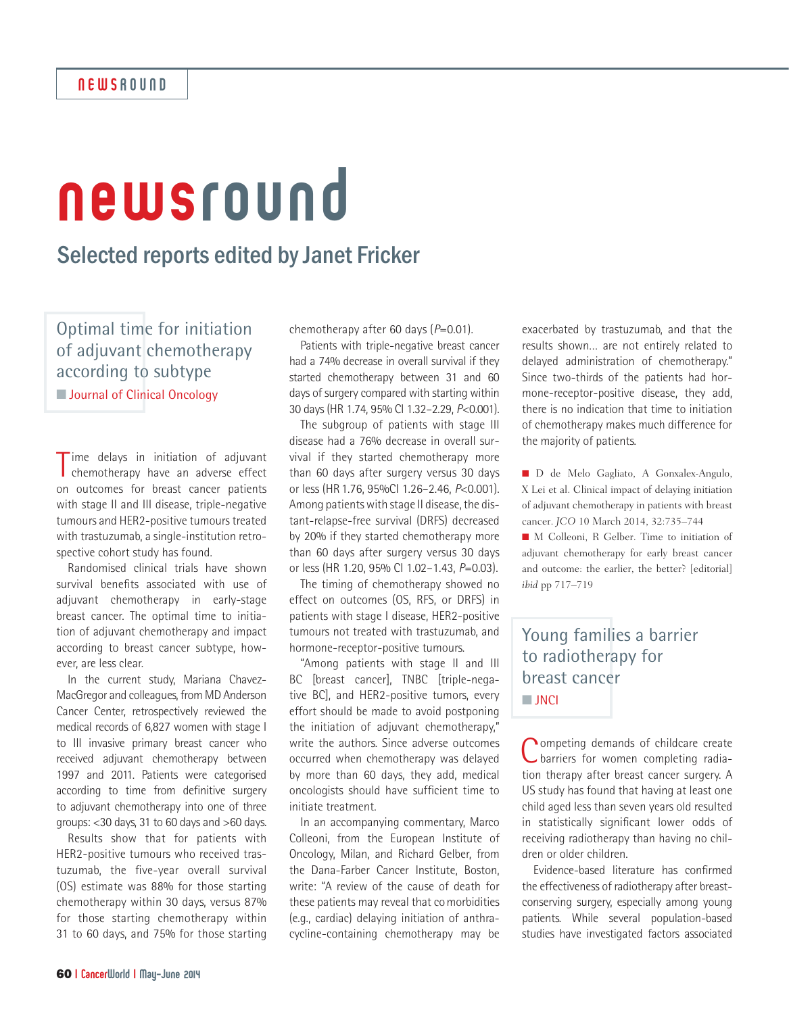# newsround

# Selected reports edited by Janet Fricker

Optimal time for initiation of adjuvant chemotherapy according to subtype

**N** Journal of Clinical Oncology

Time delays in initiation of adjuvant<br>
chemotherapy have an adverse effect chemotherapy have an adverse effect on outcomes for breast cancer patients with stage II and III disease, triple-negative tumours and HER2-positive tumours treated with trastuzumab, a single-institution retrospective cohort study has found.

Randomised clinical trials have shown survival benefits associated with use of adjuvant chemotherapy in early-stage breast cancer. The optimal time to initiation of adjuvant chemotherapy and impact according to breast cancer subtype, however, are less clear.

In the current study, Mariana Chavez-MacGregor and colleagues, from MD Anderson Cancer Center, retrospectively reviewed the medical records of 6,827 women with stage I to III invasive primary breast cancer who received adjuvant chemotherapy between 1997 and 2011. Patients were categorised according to time from definitive surgery to adjuvant chemotherapy into one of three groups: <30 days, 31 to 60 days and >60 days.

Results show that for patients with HER2-positive tumours who received trastuzumab, the five-year overall survival (OS) estimate was 88% for those starting chemotherapy within 30 days, versus 87% for those starting chemotherapy within 31 to 60 days, and 75% for those starting chemotherapy after 60 days (*P*=0.01).

Patients with triple-negative breast cancer had a 74% decrease in overall survival if they started chemotherapy between 31 and 60 days of surgery compared with starting within 30 days (HR 1.74, 95% CI 1.32–2.29, *P*<0.001).

The subgroup of patients with stage III disease had a 76% decrease in overall survival if they started chemotherapy more than 60 days after surgery versus 30 days or less (HR1.76, 95%CI 1.26–2.46, *P*<0.001). Among patients with stage II disease, the distant-relapse-free survival (DRFS) decreased by 20% if they started chemotherapy more than 60 days after surgery versus 30 days or less (HR 1.20, 95% CI 1.02–1.43, *P*=0.03).

The timing of chemotherapy showed no effect on outcomes (OS, RFS, or DRFS) in patients with stage I disease, HER2-positive tumours not treated with trastuzumab, and hormone-receptor-positive tumours.

"Among patients with stage II and III BC [breast cancer], TNBC [triple-negative BC], and HER2-positive tumors, every effort should be made to avoid postponing the initiation of adjuvant chemotherapy," write the authors. Since adverse outcomes occurred when chemotherapy was delayed by more than 60 days, they add, medical oncologists should have sufficient time to initiate treatment.

In an accompanying commentary, Marco Colleoni, from the European Institute of Oncology, Milan, and Richard Gelber, from the Dana-Farber Cancer Institute, Boston, write: "A review of the cause of death for these patients may reveal that comorbidities (e.g., cardiac) delaying initiation of anthracycline-containing chemotherapy may be

exacerbated by trastuzumab, and that the results shown… are not entirely related to delayed administration of chemotherapy." Since two-thirds of the patients had hormone-receptor-positive disease, they add, there is no indication that time to initiation of chemotherapy makes much difference for the majority of patients.

n D de Melo Gagliato, A Gonxalex-Angulo, X Lei et al. Clinical impact of delaying initiation of adjuvant chemotherapy in patients with breast cancer. *JCO* 10 March 2014, 32:735–744

■ M Colleoni, R Gelber. Time to initiation of adjuvant chemotherapy for early breast cancer and outcome: the earlier, the better? [editorial] *ibid* pp 717–719

## Young families a barrier to radiotherapy for breast cancer n **JNCI**

Competing demands of childcare create barriers for women completing radiation therapy after breast cancer surgery. A US study has found that having at least one child aged less than seven years old resulted in statistically significant lower odds of receiving radiotherapy than having no children or older children.

Evidence-based literature has confirmed the effectiveness of radiotherapy after breastconserving surgery, especially among young patients. While several population-based studies have investigated factors associated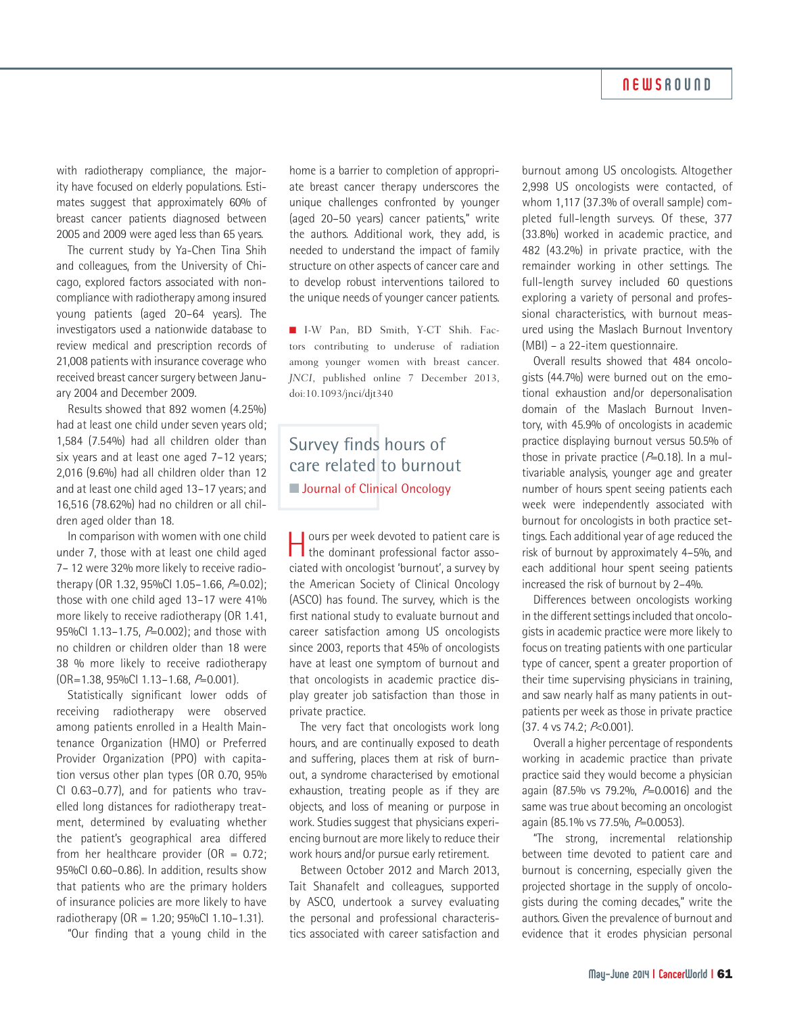#### **NEWSROUND**

with radiotherapy compliance, the majority have focused on elderly populations. Estimates suggest that approximately 60% of breast cancer patients diagnosed between 2005 and 2009 were aged less than 65 years.

The current study by Ya-Chen Tina Shih and colleagues, from the University of Chicago, explored factors associated with noncompliance with radiotherapy among insured young patients (aged 20–64 years). The investigators used a nationwide database to review medical and prescription records of 21,008 patients with insurance coverage who received breast cancer surgery between January 2004 and December 2009.

Results showed that 892 women (4.25%) had at least one child under seven years old; 1,584 (7.54%) had all children older than six years and at least one aged 7–12 years; 2,016 (9.6%) had all children older than 12 and at least one child aged 13–17 years; and 16,516 (78.62%) had no children or all children aged older than 18.

In comparison with women with one child under 7, those with at least one child aged 7– 12 were 32% more likely to receive radiotherapy (OR 1.32, 95%Cl 1.05-1.66,  $P=0.02$ ); those with one child aged 13–17 were 41% more likely to receive radiotherapy (OR 1.41, 95%Cl 1.13-1.75, P=0.002); and those with no children or children older than 18 were 38 % more likely to receive radiotherapy (OR=1.38, 95%CI 1.13–1.68, P=0.001).

Statistically significant lower odds of receiving radiotherapy were observed among patients enrolled in a Health Maintenance Organization (HMO) or Preferred Provider Organization (PPO) with capitation versus other plan types (OR 0.70, 95% CI 0.63–0.77), and for patients who travelled long distances for radiotherapy treatment, determined by evaluating whether the patient's geographical area differed from her healthcare provider (OR =  $0.72$ ; 95%CI 0.60–0.86). In addition, results show that patients who are the primary holders of insurance policies are more likely to have radiotherapy (OR = 1.20; 95%CI 1.10–1.31).

"Our finding that a young child in the

home is a barrier to completion of appropriate breast cancer therapy underscores the unique challenges confronted by younger (aged 20–50 years) cancer patients," write the authors. Additional work, they add, is needed to understand the impact of family structure on other aspects of cancer care and to develop robust interventions tailored to the unique needs of younger cancer patients.

n I-W Pan, BD Smith, Y-CT Shih. Factors contributing to underuse of radiation among younger women with breast cancer. *JNCI*, published online 7 December 2013, doi:10.1093/jnci/djt340

#### Survey finds hours of care related to burnout **N** Journal of Clinical Oncology

Hours per week devoted to patient care is the dominant professional factor associated with oncologist 'burnout', a survey by the American Society of Clinical Oncology (ASCO) has found. The survey, which is the first national study to evaluate burnout and career satisfaction among US oncologists since 2003, reports that 45% of oncologists have at least one symptom of burnout and that oncologists in academic practice display greater job satisfaction than those in private practice.

The very fact that oncologists work long hours, and are continually exposed to death and suffering, places them at risk of burnout, a syndrome characterised by emotional exhaustion, treating people as if they are objects, and loss of meaning or purpose in work. Studies suggest that physicians experiencing burnout are more likely to reduce their work hours and/or pursue early retirement.

Between October 2012 and March 2013, Tait Shanafelt and colleagues, supported by ASCO, undertook a survey evaluating the personal and professional characteristics associated with career satisfaction and

burnout among US oncologists. Altogether 2,998 US oncologists were contacted, of whom 1,117 (37.3% of overall sample) completed full-length surveys. Of these, 377 (33.8%) worked in academic practice, and 482 (43.2%) in private practice, with the remainder working in other settings. The full-length survey included 60 questions exploring a variety of personal and professional characteristics, with burnout measured using the Maslach Burnout Inventory (MBI) – a 22-item questionnaire.

Overall results showed that 484 oncologists (44.7%) were burned out on the emotional exhaustion and/or depersonalisation domain of the Maslach Burnout Inventory, with 45.9% of oncologists in academic practice displaying burnout versus 50.5% of those in private practice  $(P=0.18)$ . In a multivariable analysis, younger age and greater number of hours spent seeing patients each week were independently associated with burnout for oncologists in both practice settings. Each additional year of age reduced the risk of burnout by approximately 4–5%, and each additional hour spent seeing patients increased the risk of burnout by 2–4%.

Differences between oncologists working in the different settings included that oncologists in academic practice were more likely to focus on treating patients with one particular type of cancer, spent a greater proportion of their time supervising physicians in training, and saw nearly half as many patients in outpatients per week as those in private practice (37. 4 vs 74.2; P<0.001).

Overall a higher percentage of respondents working in academic practice than private practice said they would become a physician again (87.5% vs 79.2%,  $P=0.0016$ ) and the same was true about becoming an oncologist again (85.1% vs 77.5%, P=0.0053).

"The strong, incremental relationship between time devoted to patient care and burnout is concerning, especially given the projected shortage in the supply of oncologists during the coming decades," write the authors. Given the prevalence of burnout and evidence that it erodes physician personal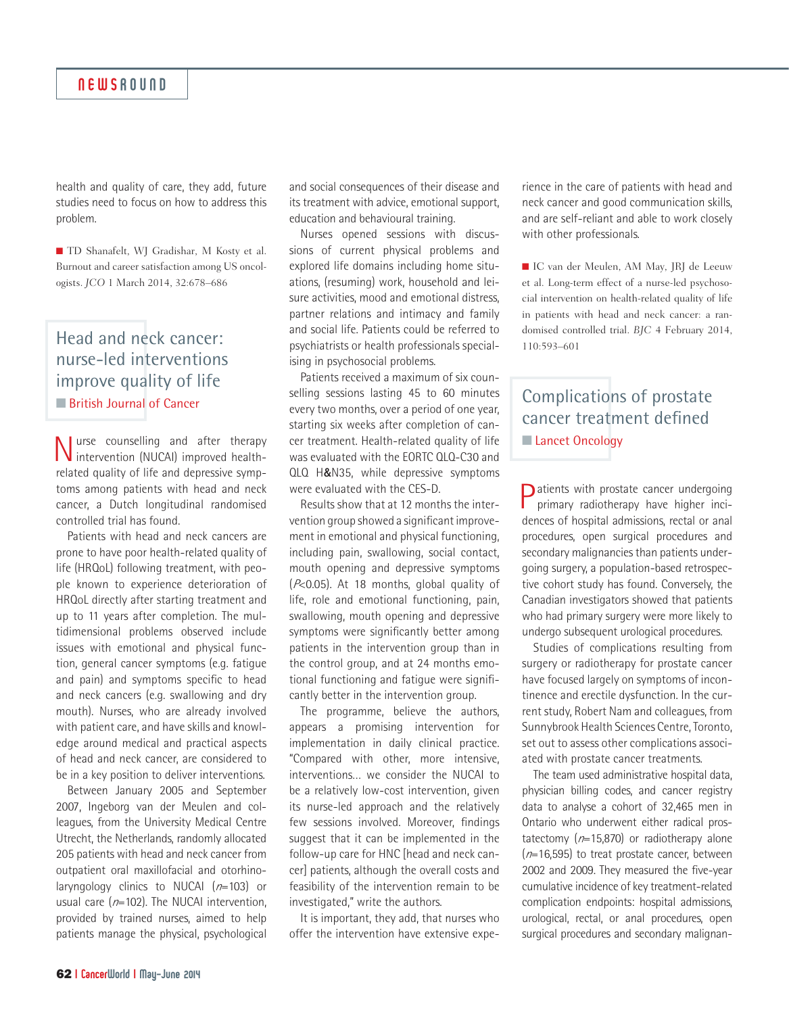health and quality of care, they add, future studies need to focus on how to address this problem.

■ TD Shanafelt, WJ Gradishar, M Kosty et al. Burnout and career satisfaction among US oncologists. *JCO* 1 March 2014, 32:678–686

#### Head and neck cancer: nurse-led interventions improve quality of life **n** British Journal of Cancer

Nurse counselling and after therapy intervention (NUCAI) improved healthrelated quality of life and depressive symptoms among patients with head and neck cancer, a Dutch longitudinal randomised controlled trial has found.

Patients with head and neck cancers are prone to have poor health-related quality of life (HRQoL) following treatment, with people known to experience deterioration of HRQoL directly after starting treatment and up to 11 years after completion. The multidimensional problems observed include issues with emotional and physical function, general cancer symptoms (e.g. fatigue and pain) and symptoms specific to head and neck cancers (e.g. swallowing and dry mouth). Nurses, who are already involved with patient care, and have skills and knowledge around medical and practical aspects of head and neck cancer, are considered to be in a key position to deliver interventions.

Between January 2005 and September 2007, Ingeborg van der Meulen and colleagues, from the University Medical Centre Utrecht, the Netherlands, randomly allocated 205 patients with head and neck cancer from outpatient oral maxillofacial and otorhinolaryngology clinics to NUCAI  $(n=103)$  or usual care ( $n=102$ ). The NUCAI intervention, provided by trained nurses, aimed to help patients manage the physical, psychological

and social consequences of their disease and its treatment with advice, emotional support, education and behavioural training.

Nurses opened sessions with discussions of current physical problems and explored life domains including home situations, (resuming) work, household and leisure activities, mood and emotional distress, partner relations and intimacy and family and social life. Patients could be referred to psychiatrists or health professionals specialising in psychosocial problems.

Patients received a maximum of six counselling sessions lasting 45 to 60 minutes every two months, over a period of one year, starting six weeks after completion of cancer treatment. Health-related quality of life was evaluated with the EORTC QLQ-C30 and QLQ H&N35, while depressive symptoms were evaluated with the CES-D.

Results show that at 12 months the intervention group showed a significant improvement in emotional and physical functioning, including pain, swallowing, social contact, mouth opening and depressive symptoms (P<0.05). At 18 months, global quality of life, role and emotional functioning, pain, swallowing, mouth opening and depressive symptoms were significantly better among patients in the intervention group than in the control group, and at 24 months emotional functioning and fatigue were significantly better in the intervention group.

The programme, believe the authors, appears a promising intervention for implementation in daily clinical practice. "Compared with other, more intensive, interventions… we consider the NUCAI to be a relatively low-cost intervention, given its nurse-led approach and the relatively few sessions involved. Moreover, findings suggest that it can be implemented in the follow-up care for HNC [head and neck cancer] patients, although the overall costs and feasibility of the intervention remain to be investigated," write the authors.

It is important, they add, that nurses who offer the intervention have extensive experience in the care of patients with head and neck cancer and good communication skills, and are self-reliant and able to work closely with other professionals.

■ IC van der Meulen, AM May, JRJ de Leeuw et al. Long-term effect of a nurse-led psychosocial intervention on health-related quality of life in patients with head and neck cancer: a randomised controlled trial. *BJC* 4 February 2014, 110:593–601

### Complications of prostate cancer treatment defined **n Lancet Oncology**

**D** atients with prostate cancer undergoing primary radiotherapy have higher incidences of hospital admissions, rectal or anal procedures, open surgical procedures and secondary malignancies than patients undergoing surgery, a population-based retrospective cohort study has found. Conversely, the Canadian investigators showed that patients who had primary surgery were more likely to undergo subsequent urological procedures.

Studies of complications resulting from surgery or radiotherapy for prostate cancer have focused largely on symptoms of incontinence and erectile dysfunction. In the current study, Robert Nam and colleagues, from Sunnybrook Health Sciences Centre, Toronto, set out to assess other complications associated with prostate cancer treatments.

The team used administrative hospital data, physician billing codes, and cancer registry data to analyse a cohort of 32,465 men in Ontario who underwent either radical prostatectomy  $(n=15,870)$  or radiotherapy alone  $(n=16,595)$  to treat prostate cancer, between 2002 and 2009. They measured the five-year cumulative incidence of key treatment-related complication endpoints: hospital admissions, urological, rectal, or anal procedures, open surgical procedures and secondary malignan-